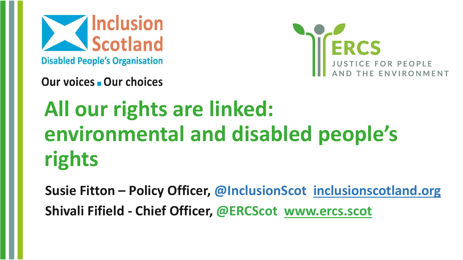Scotland **Disabled People's Organisation** 



Our voices Our choices

# **All our rights are linked: environmental and disabled people's rights**

**Susie Fitton – Policy Officer, @InclusionScot <inclusionscotland.org> Shivali Fifield - Chief Officer, @ERCScot [www.ercs.scot](http://www.ercs.scot/)**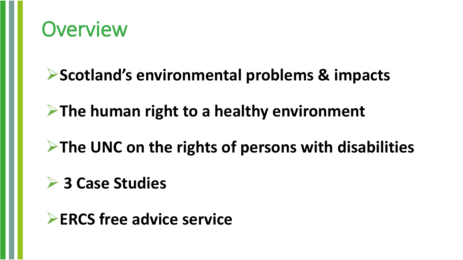

### ➢**Scotland's environmental problems & impacts**

### ➢**The human right to a healthy environment**

## ➢**The UNC on the rights of persons with disabilities**

### ➢ **3 Case Studies**

### ➢**ERCS free advice service**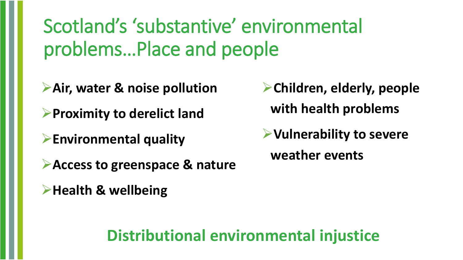Scotland's 'substantive' environmental problems…Place and people

**≻Air, water & noise pollution** 

➢**Proximity to derelict land**

➢**Environmental quality**

➢**Access to greenspace & nature**

➢**Health & wellbeing**

➢**Children, elderly, people with health problems** 

➢**Vulnerability to severe weather events**

**Distributional environmental injustice**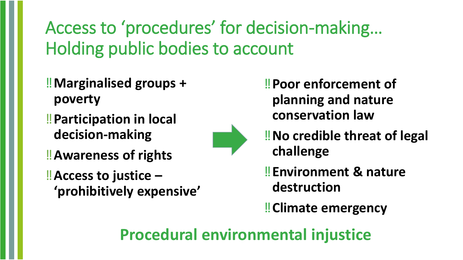## Access to 'procedures' for decision-making… Holding public bodies to account

- ‼**Marginalised groups + poverty**
- ‼**Participation in local decision-making**
- ‼**Awareness of rights**
- ‼**Access to justice – 'prohibitively expensive'**

‼**Poor enforcement of planning and nature conservation law**



- ‼**No credible threat of legal challenge**
- ‼**Environment & nature destruction**
- ‼**Climate emergency**

### **Procedural environmental injustice**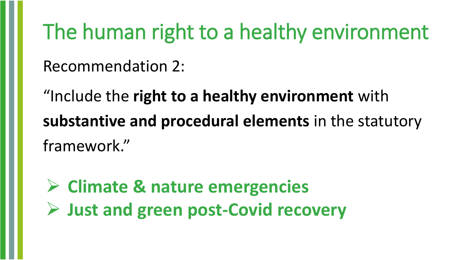## The human right to a healthy environment

Recommendation 2:

"Include the **right to a healthy environment** with **substantive and procedural elements** in the statutory framework."

➢ **Climate & nature emergencies**  ➢ **Just and green post-Covid recovery**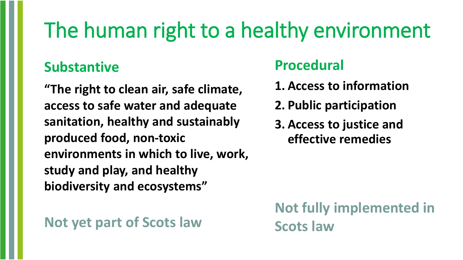# The human right to a healthy environment

**Procedural**

**1. Access to information**

**2. Public participation**

**3. Access to justice and** 

**effective remedies**

#### **Substantive**

**"The right to clean air, safe climate, access to safe water and adequate sanitation, healthy and sustainably produced food, non-toxic environments in which to live, work, study and play, and healthy biodiversity and ecosystems"**

#### **Not yet part of Scots law**

### **Not fully implemented in Scots law**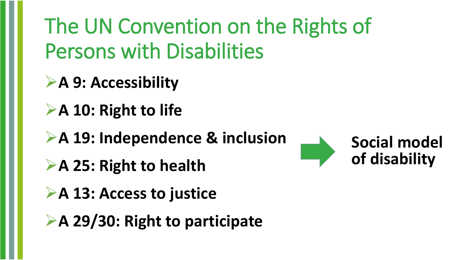The UN Convention on the Rights of Persons with Disabilities

➢**A 9: Accessibility**

➢**A 10: Right to life**

➢**A 19: Independence & inclusion**

➢**A 25: Right to health**

➢**A 13: Access to justice**

➢**A 29/30: Right to participate**

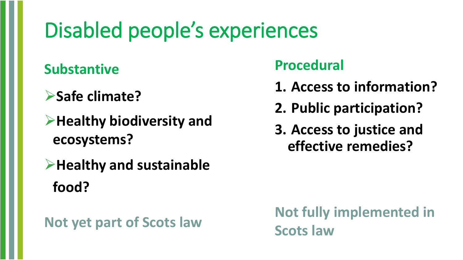## Disabled people's experiences

#### **Substantive**

- ➢**Safe climate?**
- ➢**Healthy biodiversity and ecosystems?**
- ➢**Healthy and sustainable food?**

#### **Not yet part of Scots law**

#### **Procedural**

- **1. Access to information?**
- **2. Public participation?**
- **3. Access to justice and effective remedies?**

**Not fully implemented in Scots law**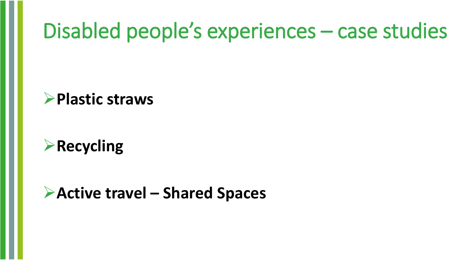## Disabled people's experiences – case studies

#### ➢**Plastic straws**

### ➢**Recycling**

#### ➢**Active travel – Shared Spaces**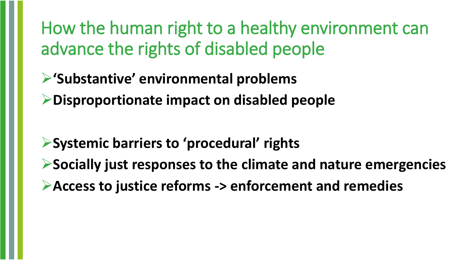How the human right to a healthy environment can advance the rights of disabled people

➢**'Substantive' environmental problems** 

➢**Disproportionate impact on disabled people**

➢**Systemic barriers to 'procedural' rights** ➢**Socially just responses to the climate and nature emergencies** ➢**Access to justice reforms -> enforcement and remedies**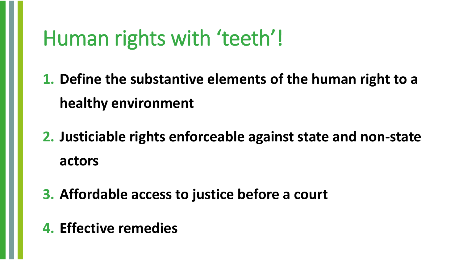## Human rights with 'teeth'!

**1. Define the substantive elements of the human right to a healthy environment**

- **2. Justiciable rights enforceable against state and non-state actors**
- **3. Affordable access to justice before a court**
- **4. Effective remedies**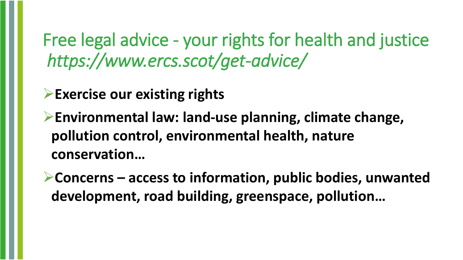Free legal advice - your rights for health and justice *https://www.ercs.scot/get-advice/* 

➢**Exercise our existing rights**

➢**Environmental law: land-use planning, climate change, pollution control, environmental health, nature conservation…** 

➢**Concerns – access to information, public bodies, unwanted development, road building, greenspace, pollution…**